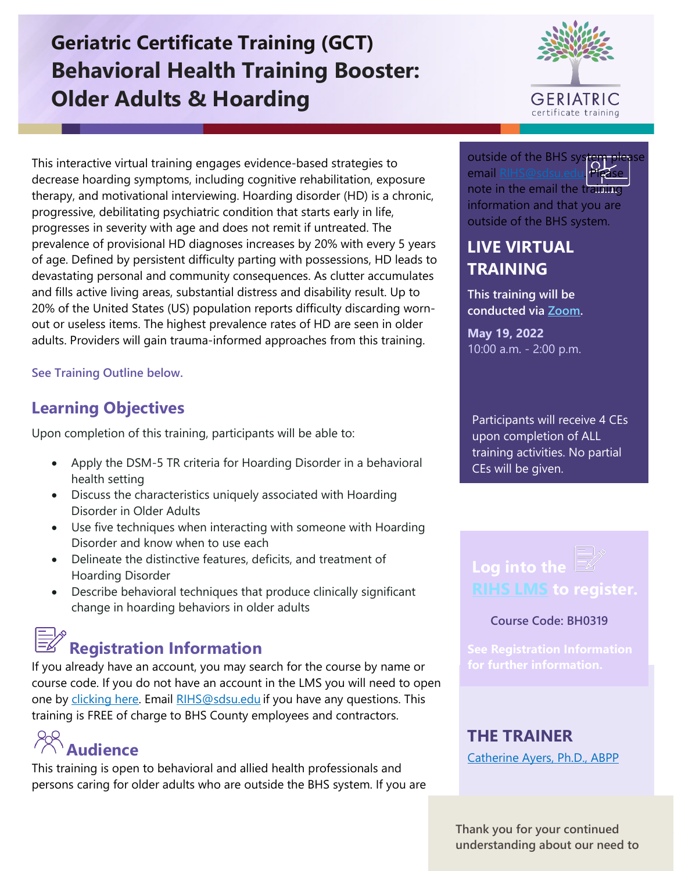# **Geriatric Certificate Training (GCT) Behavioral Health Training Booster: Older Adults & Hoarding**



This interactive virtual training engages evidence-based strategies to decrease hoarding symptoms, including cognitive rehabilitation, exposure therapy, and motivational interviewing. Hoarding disorder (HD) is a chronic, progressive, debilitating psychiatric condition that starts early in life, progresses in severity with age and does not remit if untreated. The prevalence of provisional HD diagnoses increases by 20% with every 5 years of age. Defined by persistent difficulty parting with possessions, HD leads to devastating personal and community consequences. As clutter accumulates and fills active living areas, substantial distress and disability result. Up to 20% of the United States (US) population reports difficulty discarding wornout or useless items. The highest prevalence rates of HD are seen in older adults. Providers will gain trauma-informed approaches from this training.

**See Training Outline below.**

# **Learning Objectives**

Upon completion of this training, participants will be able to:

- Apply the DSM-5 TR criteria for Hoarding Disorder in a behavioral health setting
- Discuss the characteristics uniquely associated with Hoarding Disorder in Older Adults
- Use five techniques when interacting with someone with Hoarding Disorder and know when to use each
- Delineate the distinctive features, deficits, and treatment of Hoarding Disorder
- Describe behavioral techniques that produce clinically significant change in hoarding behaviors in older adults

# **Registration Information**

If you already have an account, you may search for the course by name or course code. If you do not have an account in the LMS you will need to open one by [clicking here.](https://sdsumbrs.az1.qualtrics.com/jfe/form/SV_0c75lYpeur5l9rv) Email [RIHS@sdsu.edu](mailto:RIHS@sdsu.edu?subject=Create%20Account) if you have any questions. This training is FREE of charge to BHS County employees and contractors.

**Audience**

This training is open to behavioral and allied health professionals and persons caring for older adults who are outside the BHS system. If you are outside of the BHS syst email RIHS@sdsu. note in the email the training information and that you are outside of the BHS system.

## **LIVE VIRTUAL TRAINING**

**This training will be conducted via [Zoom.](https://zoom.us/download)**

**May 19, 2022**  10:00 a.m. - 2:00 p.m.

Participants will receive 4 CEs upon completion of ALL training activities. No partial CEs will be given.

# **Log into the [RIHS LMS](https://academy.sumtotal.host/) to register.**

#### **Course Code: BH0319**

### **THE TRAINER**

[Catherine Ayers, Ph.D., ABPP](https://theacademy.sdsu.edu/rihsbios/catherine-ayers/) 

**Thank you for your continued understanding about our need to**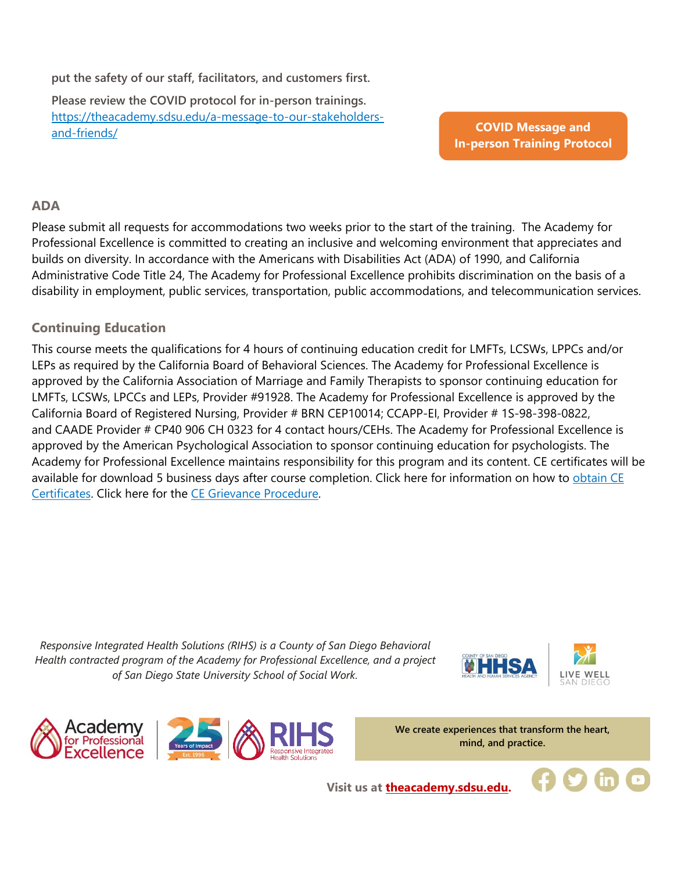**put the safety of our staff, facilitators, and customers first.**

**Please review the COVID protocol for in-person trainings.**  [https://theacademy.sdsu.edu/a-message-to-our-stakeholders](https://theacademy.sdsu.edu/a-message-to-our-stakeholders-and-friends/)[and-friends/](https://theacademy.sdsu.edu/a-message-to-our-stakeholders-and-friends/)

**COVID Message and [In-person Training Protocol](https://theacademy.sdsu.edu/a-message-to-our-stakeholders-and-friends/)**

#### **ADA**

Please submit all requests for accommodations two weeks prior to the start of the training. The Academy for Professional Excellence is committed to creating an inclusive and welcoming environment that appreciates and builds on diversity. In accordance with the Americans with Disabilities Act (ADA) of 1990, and California Administrative Code Title 24, The Academy for Professional Excellence prohibits discrimination on the basis of a disability in employment, public services, transportation, public accommodations, and telecommunication services.

#### **Continuing Education**

This course meets the qualifications for 4 hours of continuing education credit for LMFTs, LCSWs, LPPCs and/or LEPs as required by the California Board of Behavioral Sciences. The Academy for Professional Excellence is approved by the California Association of Marriage and Family Therapists to sponsor continuing education for LMFTs, LCSWs, LPCCs and LEPs, Provider #91928. The Academy for Professional Excellence is approved by the California Board of Registered Nursing, Provider # BRN CEP10014; CCAPP-EI, Provider # 1S-98-398-0822, and CAADE Provider # CP40 906 CH 0323 for 4 contact hours/CEHs. The Academy for Professional Excellence is approved by the American Psychological Association to sponsor continuing education for psychologists. The Academy for Professional Excellence maintains responsibility for this program and its content. CE certificates will be available for download 5 business days after course completion. Click here for information on how to obtain CE [Certificates.](https://theacademy.sdsu.edu/programs/rihs/rihs-faq/) Click here for the [CE Grievance Procedure.](https://drive.google.com/file/d/10H4zN0gLatK2hP5SJpe0HTZkZpYm8GRj/view) 

*Responsive Integrated Health Solutions (RIHS) is a County of San Diego Behavioral Health contracted program of the Academy for Professional Excellence, and a project of San Diego State University School of Social Work.*







**We create experiences that transform the heart, mind, and practice.**

**Visit us at [theacademy.sdsu.edu.](https://theacademy.sdsu.edu/)**